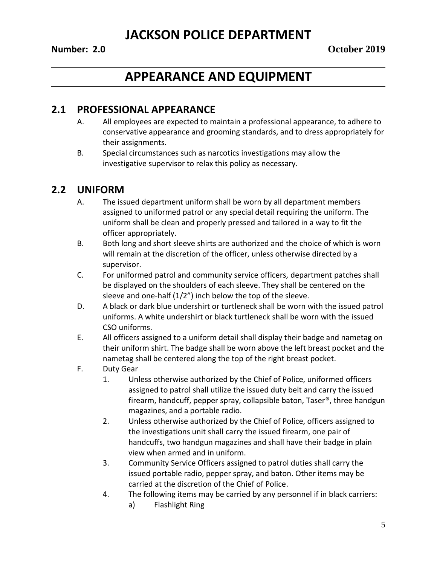# **APPEARANCE AND EQUIPMENT**

## **2.1 PROFESSIONAL APPEARANCE**

- A. All employees are expected to maintain a professional appearance, to adhere to conservative appearance and grooming standards, and to dress appropriately for their assignments.
- B. Special circumstances such as narcotics investigations may allow the investigative supervisor to relax this policy as necessary.

## **2.2 UNIFORM**

- A. The issued department uniform shall be worn by all department members assigned to uniformed patrol or any special detail requiring the uniform. The uniform shall be clean and properly pressed and tailored in a way to fit the officer appropriately.
- B. Both long and short sleeve shirts are authorized and the choice of which is worn will remain at the discretion of the officer, unless otherwise directed by a supervisor.
- C. For uniformed patrol and community service officers, department patches shall be displayed on the shoulders of each sleeve. They shall be centered on the sleeve and one-half (1/2") inch below the top of the sleeve.
- D. A black or dark blue undershirt or turtleneck shall be worn with the issued patrol uniforms. A white undershirt or black turtleneck shall be worn with the issued CSO uniforms.
- E. All officers assigned to a uniform detail shall display their badge and nametag on their uniform shirt. The badge shall be worn above the left breast pocket and the nametag shall be centered along the top of the right breast pocket.
- F. Duty Gear
	- 1. Unless otherwise authorized by the Chief of Police, uniformed officers assigned to patrol shall utilize the issued duty belt and carry the issued firearm, handcuff, pepper spray, collapsible baton, Taser®, three handgun magazines, and a portable radio.
	- 2. Unless otherwise authorized by the Chief of Police, officers assigned to the investigations unit shall carry the issued firearm, one pair of handcuffs, two handgun magazines and shall have their badge in plain view when armed and in uniform.
	- 3. Community Service Officers assigned to patrol duties shall carry the issued portable radio, pepper spray, and baton. Other items may be carried at the discretion of the Chief of Police.
	- 4. The following items may be carried by any personnel if in black carriers:
		- a) Flashlight Ring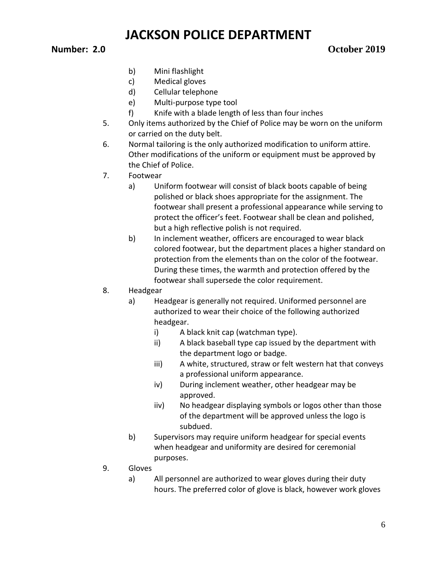### **Number: 2.0 October 2019**

- b) Mini flashlight
- c) Medical gloves
- d) Cellular telephone
- e) Multi-purpose type tool
- f) Knife with a blade length of less than four inches
- 5. Only items authorized by the Chief of Police may be worn on the uniform or carried on the duty belt.
- 6. Normal tailoring is the only authorized modification to uniform attire. Other modifications of the uniform or equipment must be approved by the Chief of Police.
- 7. Footwear
	- a) Uniform footwear will consist of black boots capable of being polished or black shoes appropriate for the assignment. The footwear shall present a professional appearance while serving to protect the officer's feet. Footwear shall be clean and polished, but a high reflective polish is not required.
	- b) In inclement weather, officers are encouraged to wear black colored footwear, but the department places a higher standard on protection from the elements than on the color of the footwear. During these times, the warmth and protection offered by the footwear shall supersede the color requirement.
- 8. Headgear
	- a) Headgear is generally not required. Uniformed personnel are authorized to wear their choice of the following authorized headgear.
		- i) A black knit cap (watchman type).
		- ii) A black baseball type cap issued by the department with the department logo or badge.
		- iii) A white, structured, straw or felt western hat that conveys a professional uniform appearance.
		- iv) During inclement weather, other headgear may be approved.
		- iiv) No headgear displaying symbols or logos other than those of the department will be approved unless the logo is subdued.
	- b) Supervisors may require uniform headgear for special events when headgear and uniformity are desired for ceremonial purposes.
- 9. Gloves
	- a) All personnel are authorized to wear gloves during their duty hours. The preferred color of glove is black, however work gloves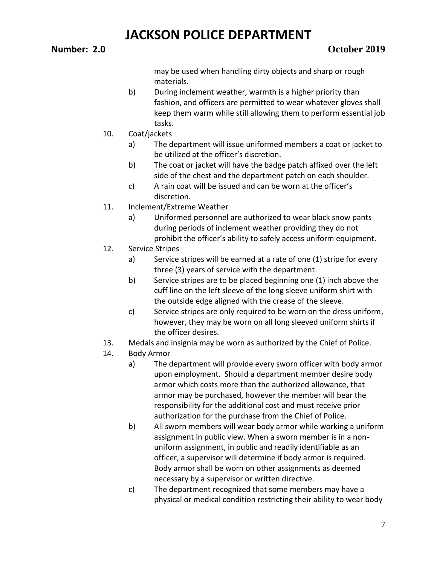may be used when handling dirty objects and sharp or rough materials.

- b) During inclement weather, warmth is a higher priority than fashion, and officers are permitted to wear whatever gloves shall keep them warm while still allowing them to perform essential job tasks.
- 10. Coat/jackets
	- a) The department will issue uniformed members a coat or jacket to be utilized at the officer's discretion.
	- b) The coat or jacket will have the badge patch affixed over the left side of the chest and the department patch on each shoulder.
	- c) A rain coat will be issued and can be worn at the officer's discretion.
- 11. Inclement/Extreme Weather
	- a) Uniformed personnel are authorized to wear black snow pants during periods of inclement weather providing they do not prohibit the officer's ability to safely access uniform equipment.
- 12. Service Stripes
	- a) Service stripes will be earned at a rate of one (1) stripe for every three (3) years of service with the department.
	- b) Service stripes are to be placed beginning one (1) inch above the cuff line on the left sleeve of the long sleeve uniform shirt with the outside edge aligned with the crease of the sleeve.
	- c) Service stripes are only required to be worn on the dress uniform, however, they may be worn on all long sleeved uniform shirts if the officer desires.
- 13. Medals and insignia may be worn as authorized by the Chief of Police.
- 14. Body Armor
	- a) The department will provide every sworn officer with body armor upon employment. Should a department member desire body armor which costs more than the authorized allowance, that armor may be purchased, however the member will bear the responsibility for the additional cost and must receive prior authorization for the purchase from the Chief of Police.
	- b) All sworn members will wear body armor while working a uniform assignment in public view. When a sworn member is in a nonuniform assignment, in public and readily identifiable as an officer, a supervisor will determine if body armor is required. Body armor shall be worn on other assignments as deemed necessary by a supervisor or written directive.
	- c) The department recognized that some members may have a physical or medical condition restricting their ability to wear body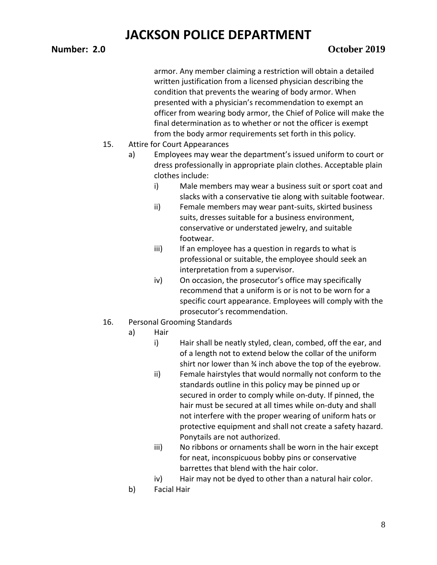#### **Number: 2.0 October 2019**

armor. Any member claiming a restriction will obtain a detailed written justification from a licensed physician describing the condition that prevents the wearing of body armor. When presented with a physician's recommendation to exempt an officer from wearing body armor, the Chief of Police will make the final determination as to whether or not the officer is exempt from the body armor requirements set forth in this policy.

- 15. Attire for Court Appearances
	- a) Employees may wear the department's issued uniform to court or dress professionally in appropriate plain clothes. Acceptable plain clothes include:
		- i) Male members may wear a business suit or sport coat and slacks with a conservative tie along with suitable footwear.
		- ii) Female members may wear pant-suits, skirted business suits, dresses suitable for a business environment, conservative or understated jewelry, and suitable footwear.
		- iii) If an employee has a question in regards to what is professional or suitable, the employee should seek an interpretation from a supervisor.
		- iv) On occasion, the prosecutor's office may specifically recommend that a uniform is or is not to be worn for a specific court appearance. Employees will comply with the prosecutor's recommendation.
- 16. Personal Grooming Standards
	- a) Hair
		- i) Hair shall be neatly styled, clean, combed, off the ear, and of a length not to extend below the collar of the uniform shirt nor lower than ¾ inch above the top of the eyebrow.
		- ii) Female hairstyles that would normally not conform to the standards outline in this policy may be pinned up or secured in order to comply while on-duty. If pinned, the hair must be secured at all times while on-duty and shall not interfere with the proper wearing of uniform hats or protective equipment and shall not create a safety hazard. Ponytails are not authorized.
		- iii) No ribbons or ornaments shall be worn in the hair except for neat, inconspicuous bobby pins or conservative barrettes that blend with the hair color.
		- iv) Hair may not be dyed to other than a natural hair color.
	- b) Facial Hair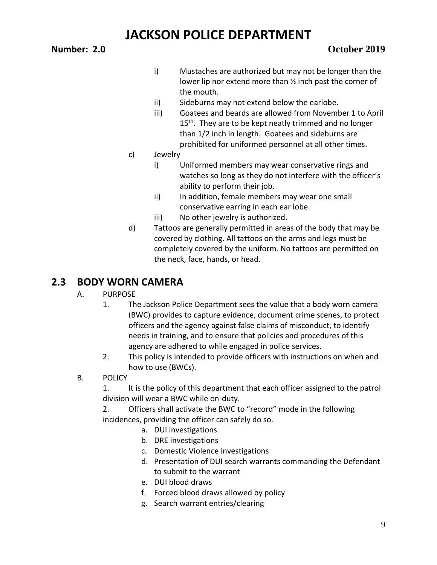- i) Mustaches are authorized but may not be longer than the lower lip nor extend more than ½ inch past the corner of the mouth.
- ii) Sideburns may not extend below the earlobe.
- iii) Goatees and beards are allowed from November 1 to April  $15<sup>th</sup>$ . They are to be kept neatly trimmed and no longer than 1/2 inch in length. Goatees and sideburns are prohibited for uniformed personnel at all other times.
- c) Jewelry
	- i) Uniformed members may wear conservative rings and watches so long as they do not interfere with the officer's ability to perform their job.
	- ii) In addition, female members may wear one small conservative earring in each ear lobe.
	- iii) No other jewelry is authorized.
- d) Tattoos are generally permitted in areas of the body that may be covered by clothing. All tattoos on the arms and legs must be completely covered by the uniform. No tattoos are permitted on the neck, face, hands, or head.

## **2.3 BODY WORN CAMERA**

### A. PURPOSE

- 1. The Jackson Police Department sees the value that a body worn camera (BWC) provides to capture evidence, document crime scenes, to protect officers and the agency against false claims of misconduct, to identify needs in training, and to ensure that policies and procedures of this agency are adhered to while engaged in police services.
- 2. This policy is intended to provide officers with instructions on when and how to use (BWCs).
- B. POLICY

1. It is the policy of this department that each officer assigned to the patrol division will wear a BWC while on-duty.

2. Officers shall activate the BWC to "record" mode in the following incidences, providing the officer can safely do so.

- a. DUI investigations
- b. DRE investigations
- c. Domestic Violence investigations
- d. Presentation of DUI search warrants commanding the Defendant to submit to the warrant
- e. DUI blood draws
- f. Forced blood draws allowed by policy
- g. Search warrant entries/clearing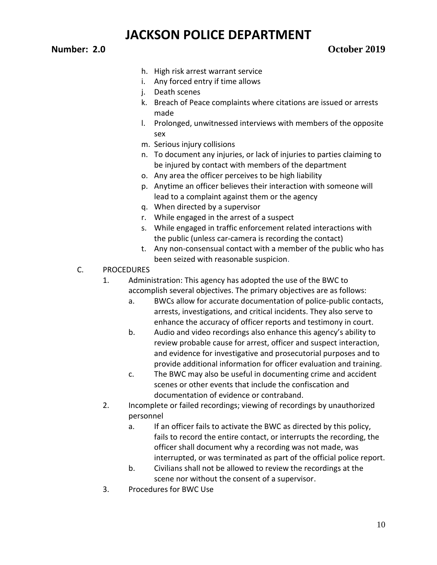### **Number: 2.0 October 2019**

- h. High risk arrest warrant service
- i. Any forced entry if time allows
- j. Death scenes
- k. Breach of Peace complaints where citations are issued or arrests made
- l. Prolonged, unwitnessed interviews with members of the opposite sex
- m. Serious injury collisions
- n. To document any injuries, or lack of injuries to parties claiming to be injured by contact with members of the department
- o. Any area the officer perceives to be high liability
- p. Anytime an officer believes their interaction with someone will lead to a complaint against them or the agency
- q. When directed by a supervisor
- r. While engaged in the arrest of a suspect
- s. While engaged in traffic enforcement related interactions with the public (unless car-camera is recording the contact)
- t. Any non-consensual contact with a member of the public who has been seized with reasonable suspicion.
- C. PROCEDURES
	- 1. Administration: This agency has adopted the use of the BWC to accomplish several objectives. The primary objectives are as follows:
		- a. BWCs allow for accurate documentation of police-public contacts, arrests, investigations, and critical incidents. They also serve to enhance the accuracy of officer reports and testimony in court.
		- b. Audio and video recordings also enhance this agency's ability to review probable cause for arrest, officer and suspect interaction, and evidence for investigative and prosecutorial purposes and to provide additional information for officer evaluation and training.
		- c. The BWC may also be useful in documenting crime and accident scenes or other events that include the confiscation and documentation of evidence or contraband.
	- 2. Incomplete or failed recordings; viewing of recordings by unauthorized personnel
		- a. If an officer fails to activate the BWC as directed by this policy, fails to record the entire contact, or interrupts the recording, the officer shall document why a recording was not made, was interrupted, or was terminated as part of the official police report.
		- b. Civilians shall not be allowed to review the recordings at the scene nor without the consent of a supervisor.
	- 3. Procedures for BWC Use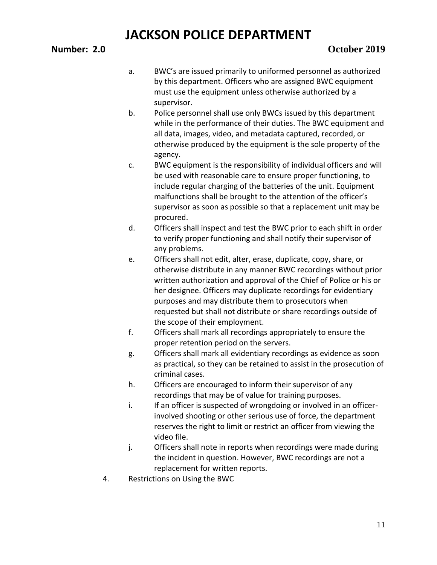- a. BWC's are issued primarily to uniformed personnel as authorized by this department. Officers who are assigned BWC equipment must use the equipment unless otherwise authorized by a supervisor.
- b. Police personnel shall use only BWCs issued by this department while in the performance of their duties. The BWC equipment and all data, images, video, and metadata captured, recorded, or otherwise produced by the equipment is the sole property of the agency.
- c. BWC equipment is the responsibility of individual officers and will be used with reasonable care to ensure proper functioning, to include regular charging of the batteries of the unit. Equipment malfunctions shall be brought to the attention of the officer's supervisor as soon as possible so that a replacement unit may be procured.
- d. Officers shall inspect and test the BWC prior to each shift in order to verify proper functioning and shall notify their supervisor of any problems.
- e. Officers shall not edit, alter, erase, duplicate, copy, share, or otherwise distribute in any manner BWC recordings without prior written authorization and approval of the Chief of Police or his or her designee. Officers may duplicate recordings for evidentiary purposes and may distribute them to prosecutors when requested but shall not distribute or share recordings outside of the scope of their employment.
- f. Officers shall mark all recordings appropriately to ensure the proper retention period on the servers.
- g. Officers shall mark all evidentiary recordings as evidence as soon as practical, so they can be retained to assist in the prosecution of criminal cases.
- h. Officers are encouraged to inform their supervisor of any recordings that may be of value for training purposes.
- i. If an officer is suspected of wrongdoing or involved in an officerinvolved shooting or other serious use of force, the department reserves the right to limit or restrict an officer from viewing the video file.
- j. Officers shall note in reports when recordings were made during the incident in question. However, BWC recordings are not a replacement for written reports.
- 4. Restrictions on Using the BWC